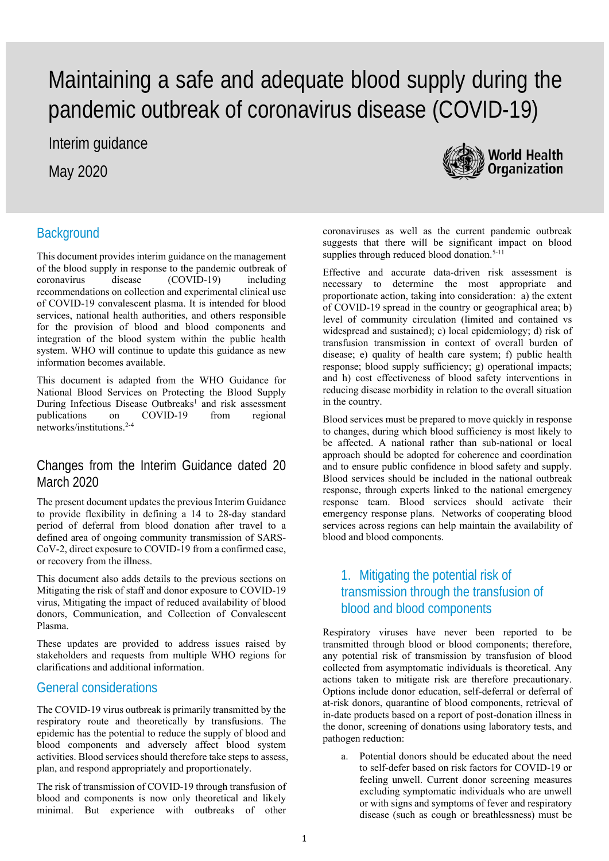# Maintaining a safe and adequate blood supply during the pandemic outbreak of coronavirus disease (COVID-19)

Interim guidance

May 2020



# **Background**

This document provides interim guidance on the management of the blood supply in response to the pandemic outbreak of coronavirus disease (COVID-19) including recommendations on collection and experimental clinical use of COVID-19 convalescent plasma. It is intended for blood services, national health authorities, and others responsible for the provision of blood and blood components and integration of the blood system within the public health system. WHO will continue to update this guidance as new information becomes available.

This document is adapted from the WHO Guidance for National Blood Services on Protecting the Blood Supply During Infectious Disease Outbreaks<sup>1</sup> and risk assessment publications on COVID-19 from regional networks/institutions.2-4

#### Changes from the Interim Guidance dated 20 March 2020

The present document updates the previous Interim Guidance to provide flexibility in defining a 14 to 28-day standard period of deferral from blood donation after travel to a defined area of ongoing community transmission of SARS-CoV-2, direct exposure to COVID-19 from a confirmed case, or recovery from the illness.

This document also adds details to the previous sections on Mitigating the risk of staff and donor exposure to COVID-19 virus, Mitigating the impact of reduced availability of blood donors, Communication, and Collection of Convalescent Plasma.

These updates are provided to address issues raised by stakeholders and requests from multiple WHO regions for clarifications and additional information.

#### General considerations

The COVID-19 virus outbreak is primarily transmitted by the respiratory route and theoretically by transfusions. The epidemic has the potential to reduce the supply of blood and blood components and adversely affect blood system activities. Blood services should therefore take steps to assess, plan, and respond appropriately and proportionately.

The risk of transmission of COVID-19 through transfusion of blood and components is now only theoretical and likely minimal. But experience with outbreaks of other

coronaviruses as well as the current pandemic outbreak suggests that there will be significant impact on blood supplies through reduced blood donation.<sup>5-11</sup>

Effective and accurate data-driven risk assessment is necessary to determine the most appropriate and proportionate action, taking into consideration: a) the extent of COVID-19 spread in the country or geographical area; b) level of community circulation (limited and contained vs widespread and sustained); c) local epidemiology; d) risk of transfusion transmission in context of overall burden of disease; e) quality of health care system; f) public health response; blood supply sufficiency; g) operational impacts; and h) cost effectiveness of blood safety interventions in reducing disease morbidity in relation to the overall situation in the country.

Blood services must be prepared to move quickly in response to changes, during which blood sufficiency is most likely to be affected. A national rather than sub-national or local approach should be adopted for coherence and coordination and to ensure public confidence in blood safety and supply. Blood services should be included in the national outbreak response, through experts linked to the national emergency response team. Blood services should activate their emergency response plans. Networks of cooperating blood services across regions can help maintain the availability of blood and blood components.

## 1. Mitigating the potential risk of transmission through the transfusion of blood and blood components

Respiratory viruses have never been reported to be transmitted through blood or blood components; therefore, any potential risk of transmission by transfusion of blood collected from asymptomatic individuals is theoretical. Any actions taken to mitigate risk are therefore precautionary. Options include donor education, self-deferral or deferral of at-risk donors, quarantine of blood components, retrieval of in-date products based on a report of post-donation illness in the donor, screening of donations using laboratory tests, and pathogen reduction:

a. Potential donors should be educated about the need to self-defer based on risk factors for COVID-19 or feeling unwell. Current donor screening measures excluding symptomatic individuals who are unwell or with signs and symptoms of fever and respiratory disease (such as cough or breathlessness) must be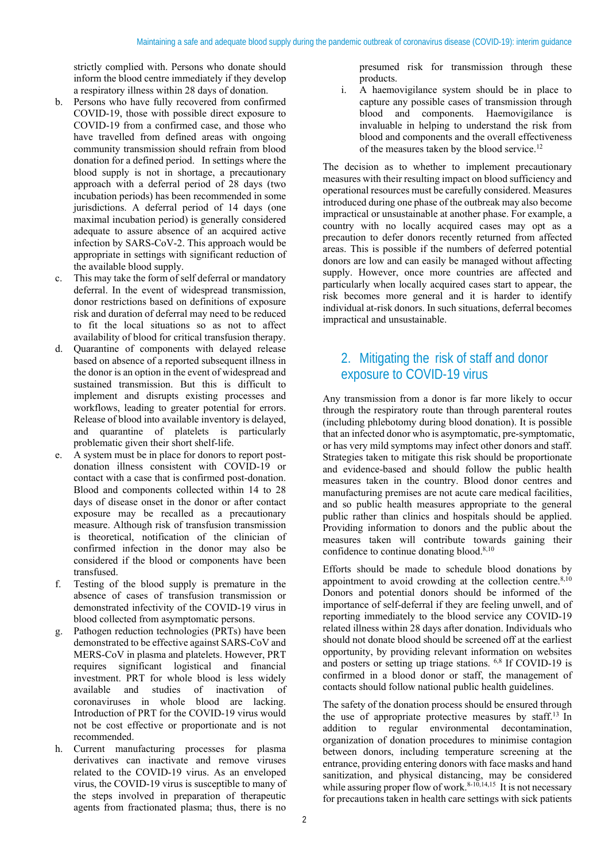strictly complied with. Persons who donate should inform the blood centre immediately if they develop a respiratory illness within 28 days of donation.

- b. Persons who have fully recovered from confirmed COVID-19, those with possible direct exposure to COVID-19 from a confirmed case, and those who have travelled from defined areas with ongoing community transmission should refrain from blood donation for a defined period. In settings where the blood supply is not in shortage, a precautionary approach with a deferral period of 28 days (two incubation periods) has been recommended in some jurisdictions. A deferral period of 14 days (one maximal incubation period) is generally considered adequate to assure absence of an acquired active infection by SARS-CoV-2. This approach would be appropriate in settings with significant reduction of the available blood supply.
- This may take the form of self deferral or mandatory deferral. In the event of widespread transmission, donor restrictions based on definitions of exposure risk and duration of deferral may need to be reduced to fit the local situations so as not to affect availability of blood for critical transfusion therapy.
- d. Quarantine of components with delayed release based on absence of a reported subsequent illness in the donor is an option in the event of widespread and sustained transmission. But this is difficult to implement and disrupts existing processes and workflows, leading to greater potential for errors. Release of blood into available inventory is delayed, and quarantine of platelets is particularly problematic given their short shelf-life.
- e. A system must be in place for donors to report postdonation illness consistent with COVID-19 or contact with a case that is confirmed post-donation. Blood and components collected within 14 to 28 days of disease onset in the donor or after contact exposure may be recalled as a precautionary measure. Although risk of transfusion transmission is theoretical, notification of the clinician of confirmed infection in the donor may also be considered if the blood or components have been transfused.
- f. Testing of the blood supply is premature in the absence of cases of transfusion transmission or demonstrated infectivity of the COVID-19 virus in blood collected from asymptomatic persons.
- g. Pathogen reduction technologies (PRTs) have been demonstrated to be effective against SARS-CoV and MERS-CoV in plasma and platelets. However, PRT requires significant logistical and financial investment. PRT for whole blood is less widely available and studies of inactivation of coronaviruses in whole blood are lacking. Introduction of PRT for the COVID-19 virus would not be cost effective or proportionate and is not recommended.
- Current manufacturing processes for plasma derivatives can inactivate and remove viruses related to the COVID-19 virus. As an enveloped virus, the COVID-19 virus is susceptible to many of the steps involved in preparation of therapeutic agents from fractionated plasma; thus, there is no

presumed risk for transmission through these products.

i. A haemovigilance system should be in place to capture any possible cases of transmission through blood and components. Haemovigilance is invaluable in helping to understand the risk from blood and components and the overall effectiveness of the measures taken by the blood service.12

The decision as to whether to implement precautionary measures with their resulting impact on blood sufficiency and operational resources must be carefully considered. Measures introduced during one phase of the outbreak may also become impractical or unsustainable at another phase. For example, a country with no locally acquired cases may opt as a precaution to defer donors recently returned from affected areas. This is possible if the numbers of deferred potential donors are low and can easily be managed without affecting supply. However, once more countries are affected and particularly when locally acquired cases start to appear, the risk becomes more general and it is harder to identify individual at-risk donors. In such situations, deferral becomes impractical and unsustainable.

# 2. Mitigating the risk of staff and donor exposure to COVID-19 virus

Any transmission from a donor is far more likely to occur through the respiratory route than through parenteral routes (including phlebotomy during blood donation). It is possible that an infected donor who is asymptomatic, pre-symptomatic, or has very mild symptoms may infect other donors and staff. Strategies taken to mitigate this risk should be proportionate and evidence-based and should follow the public health measures taken in the country. Blood donor centres and manufacturing premises are not acute care medical facilities, and so public health measures appropriate to the general public rather than clinics and hospitals should be applied. Providing information to donors and the public about the measures taken will contribute towards gaining their confidence to continue donating blood.<sup>8,10</sup>

Efforts should be made to schedule blood donations by appointment to avoid crowding at the collection centre. $8,10$ Donors and potential donors should be informed of the importance of self-deferral if they are feeling unwell, and of reporting immediately to the blood service any COVID-19 related illness within 28 days after donation. Individuals who should not donate blood should be screened off at the earliest opportunity, by providing relevant information on websites and posters or setting up triage stations. 6,8 If COVID-19 is confirmed in a blood donor or staff, the management of contacts should follow national public health guidelines.

The safety of the donation process should be ensured through the use of appropriate protective measures by staff.13 In addition to regular environmental decontamination, organization of donation procedures to minimise contagion between donors, including temperature screening at the entrance, providing entering donors with face masks and hand sanitization, and physical distancing, may be considered while assuring proper flow of work. $8-10,14,15$  It is not necessary for precautions taken in health care settings with sick patients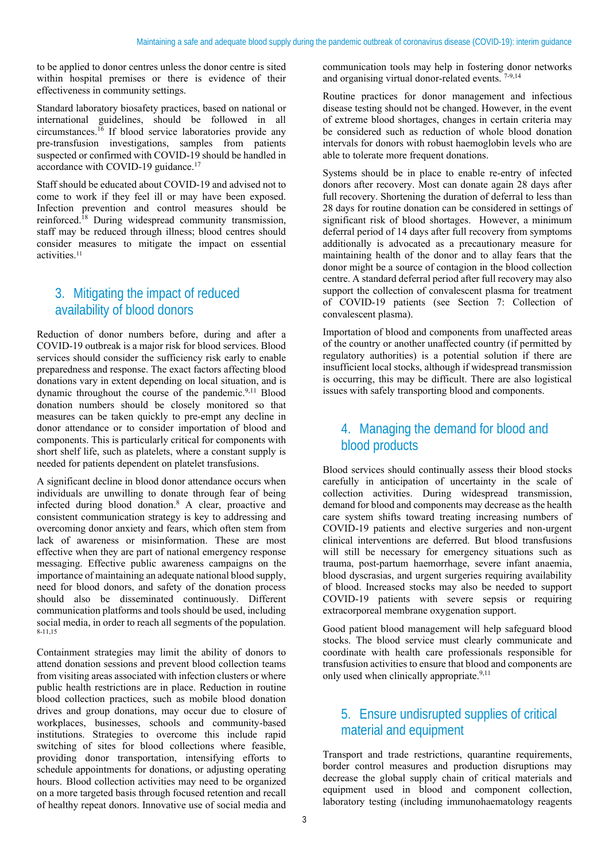to be applied to donor centres unless the donor centre is sited within hospital premises or there is evidence of their effectiveness in community settings.

Standard laboratory biosafety practices, based on national or international guidelines, should be followed in all circumstances.16 If blood service laboratories provide any pre-transfusion investigations, samples from patients suspected or confirmed with COVID-19 should be handled in accordance with COVID-19 guidance.<sup>17</sup>

Staff should be educated about COVID-19 and advised not to come to work if they feel ill or may have been exposed. Infection prevention and control measures should be reinforced.18 During widespread community transmission, staff may be reduced through illness; blood centres should consider measures to mitigate the impact on essential activities.11

# 3. Mitigating the impact of reduced availability of blood donors

Reduction of donor numbers before, during and after a COVID-19 outbreak is a major risk for blood services. Blood services should consider the sufficiency risk early to enable preparedness and response. The exact factors affecting blood donations vary in extent depending on local situation, and is dynamic throughout the course of the pandemic.<sup>9,11</sup> Blood donation numbers should be closely monitored so that measures can be taken quickly to pre-empt any decline in donor attendance or to consider importation of blood and components. This is particularly critical for components with short shelf life, such as platelets, where a constant supply is needed for patients dependent on platelet transfusions.

A significant decline in blood donor attendance occurs when individuals are unwilling to donate through fear of being infected during blood donation.8 A clear, proactive and consistent communication strategy is key to addressing and overcoming donor anxiety and fears, which often stem from lack of awareness or misinformation. These are most effective when they are part of national emergency response messaging. Effective public awareness campaigns on the importance of maintaining an adequate national blood supply, need for blood donors, and safety of the donation process should also be disseminated continuously. Different communication platforms and tools should be used, including social media, in order to reach all segments of the population. 8-11,15

Containment strategies may limit the ability of donors to attend donation sessions and prevent blood collection teams from visiting areas associated with infection clusters or where public health restrictions are in place. Reduction in routine blood collection practices, such as mobile blood donation drives and group donations, may occur due to closure of workplaces, businesses, schools and community-based institutions. Strategies to overcome this include rapid switching of sites for blood collections where feasible, providing donor transportation, intensifying efforts to schedule appointments for donations, or adjusting operating hours. Blood collection activities may need to be organized on a more targeted basis through focused retention and recall of healthy repeat donors. Innovative use of social media and

communication tools may help in fostering donor networks and organising virtual donor-related events. 7-9,14

Routine practices for donor management and infectious disease testing should not be changed. However, in the event of extreme blood shortages, changes in certain criteria may be considered such as reduction of whole blood donation intervals for donors with robust haemoglobin levels who are able to tolerate more frequent donations.

Systems should be in place to enable re-entry of infected donors after recovery. Most can donate again 28 days after full recovery. Shortening the duration of deferral to less than 28 days for routine donation can be considered in settings of significant risk of blood shortages. However, a minimum deferral period of 14 days after full recovery from symptoms additionally is advocated as a precautionary measure for maintaining health of the donor and to allay fears that the donor might be a source of contagion in the blood collection centre. A standard deferral period after full recovery may also support the collection of convalescent plasma for treatment of COVID-19 patients (see Section 7: Collection of convalescent plasma).

Importation of blood and components from unaffected areas of the country or another unaffected country (if permitted by regulatory authorities) is a potential solution if there are insufficient local stocks, although if widespread transmission is occurring, this may be difficult. There are also logistical issues with safely transporting blood and components.

### 4. Managing the demand for blood and blood products

Blood services should continually assess their blood stocks carefully in anticipation of uncertainty in the scale of collection activities. During widespread transmission, demand for blood and components may decrease as the health care system shifts toward treating increasing numbers of COVID-19 patients and elective surgeries and non-urgent clinical interventions are deferred. But blood transfusions will still be necessary for emergency situations such as trauma, post-partum haemorrhage, severe infant anaemia, blood dyscrasias, and urgent surgeries requiring availability of blood. Increased stocks may also be needed to support COVID-19 patients with severe sepsis or requiring extracorporeal membrane oxygenation support.

Good patient blood management will help safeguard blood stocks. The blood service must clearly communicate and coordinate with health care professionals responsible for transfusion activities to ensure that blood and components are only used when clinically appropriate.<sup>9,11</sup>

## 5. Ensure undisrupted supplies of critical material and equipment

Transport and trade restrictions, quarantine requirements, border control measures and production disruptions may decrease the global supply chain of critical materials and equipment used in blood and component collection, laboratory testing (including immunohaematology reagents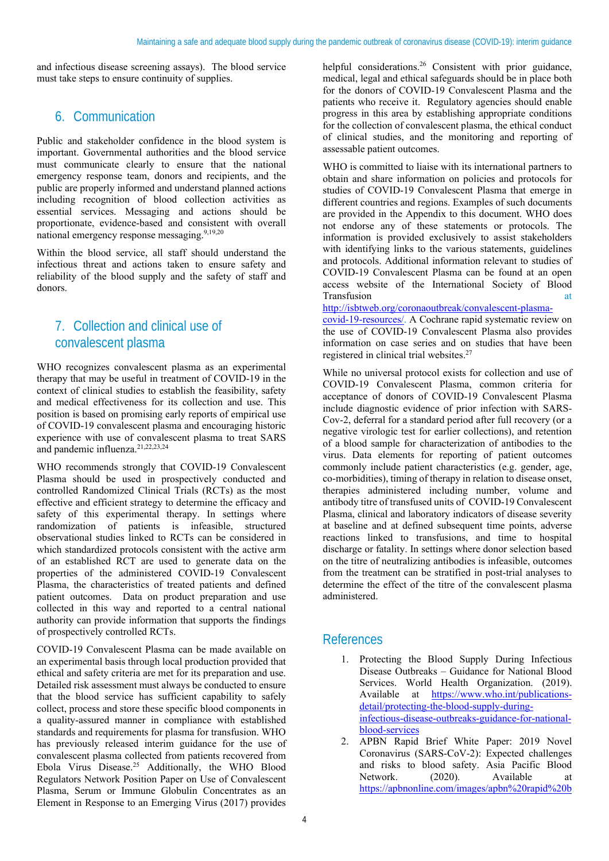and infectious disease screening assays). The blood service must take steps to ensure continuity of supplies.

# 6. Communication

Public and stakeholder confidence in the blood system is important. Governmental authorities and the blood service must communicate clearly to ensure that the national emergency response team, donors and recipients, and the public are properly informed and understand planned actions including recognition of blood collection activities as essential services. Messaging and actions should be proportionate, evidence-based and consistent with overall national emergency response messaging.<sup>9,19,20</sup>

Within the blood service, all staff should understand the infectious threat and actions taken to ensure safety and reliability of the blood supply and the safety of staff and donors.

# 7. Collection and clinical use of convalescent plasma

WHO recognizes convalescent plasma as an experimental therapy that may be useful in treatment of COVID-19 in the context of clinical studies to establish the feasibility, safety and medical effectiveness for its collection and use. This position is based on promising early reports of empirical use of COVID-19 convalescent plasma and encouraging historic experience with use of convalescent plasma to treat SARS and pandemic influenza.21,22,23,24

WHO recommends strongly that COVID-19 Convalescent Plasma should be used in prospectively conducted and controlled Randomized Clinical Trials (RCTs) as the most effective and efficient strategy to determine the efficacy and safety of this experimental therapy. In settings where randomization of patients is infeasible, structured observational studies linked to RCTs can be considered in which standardized protocols consistent with the active arm of an established RCT are used to generate data on the properties of the administered COVID-19 Convalescent Plasma, the characteristics of treated patients and defined patient outcomes. Data on product preparation and use collected in this way and reported to a central national authority can provide information that supports the findings of prospectively controlled RCTs.

COVID-19 Convalescent Plasma can be made available on an experimental basis through local production provided that ethical and safety criteria are met for its preparation and use. Detailed risk assessment must always be conducted to ensure that the blood service has sufficient capability to safely collect, process and store these specific blood components in a quality-assured manner in compliance with established standards and requirements for plasma for transfusion. WHO has previously released interim guidance for the use of convalescent plasma collected from patients recovered from Ebola Virus Disease.25 Additionally, the WHO Blood Regulators Network Position Paper on Use of Convalescent Plasma, Serum or Immune Globulin Concentrates as an Element in Response to an Emerging Virus (2017) provides

helpful considerations.<sup>26</sup> Consistent with prior guidance, medical, legal and ethical safeguards should be in place both for the donors of COVID-19 Convalescent Plasma and the patients who receive it. Regulatory agencies should enable progress in this area by establishing appropriate conditions for the collection of convalescent plasma, the ethical conduct of clinical studies, and the monitoring and reporting of assessable patient outcomes.

WHO is committed to liaise with its international partners to obtain and share information on policies and protocols for studies of COVID-19 Convalescent Plasma that emerge in different countries and regions. Examples of such documents are provided in the Appendix to this document. WHO does not endorse any of these statements or protocols. The information is provided exclusively to assist stakeholders with identifying links to the various statements, guidelines and protocols. Additional information relevant to studies of COVID-19 Convalescent Plasma can be found at an open access website of the International Society of Blood Transfusion at the set of the set of the set of the set of the set of the set of the set of the set of the set of the set of the set of the set of the set of the set of the set of the set of the set of the set of the set o

http://isbtweb.org/coronaoutbreak/convalescent-plasma-

covid-19-resources/. A Cochrane rapid systematic review on the use of COVID-19 Convalescent Plasma also provides information on case series and on studies that have been registered in clinical trial websites.27

While no universal protocol exists for collection and use of COVID-19 Convalescent Plasma, common criteria for acceptance of donors of COVID-19 Convalescent Plasma include diagnostic evidence of prior infection with SARS-Cov-2, deferral for a standard period after full recovery (or a negative virologic test for earlier collections), and retention of a blood sample for characterization of antibodies to the virus. Data elements for reporting of patient outcomes commonly include patient characteristics (e.g. gender, age, co-morbidities), timing of therapy in relation to disease onset, therapies administered including number, volume and antibody titre of transfused units of COVID-19 Convalescent Plasma, clinical and laboratory indicators of disease severity at baseline and at defined subsequent time points, adverse reactions linked to transfusions, and time to hospital discharge or fatality. In settings where donor selection based on the titre of neutralizing antibodies is infeasible, outcomes from the treatment can be stratified in post-trial analyses to determine the effect of the titre of the convalescent plasma administered.

#### References

- 1. Protecting the Blood Supply During Infectious Disease Outbreaks – Guidance for National Blood Services. World Health Organization. (2019). Available at https://www.who.int/publicationsdetail/protecting-the-blood-supply-duringinfectious-disease-outbreaks-guidance-for-nationalblood-services
- 2. APBN Rapid Brief White Paper: 2019 Novel Coronavirus (SARS-CoV-2): Expected challenges and risks to blood safety. Asia Pacific Blood Network. (2020). Available at https://apbnonline.com/images/apbn%20rapid%20b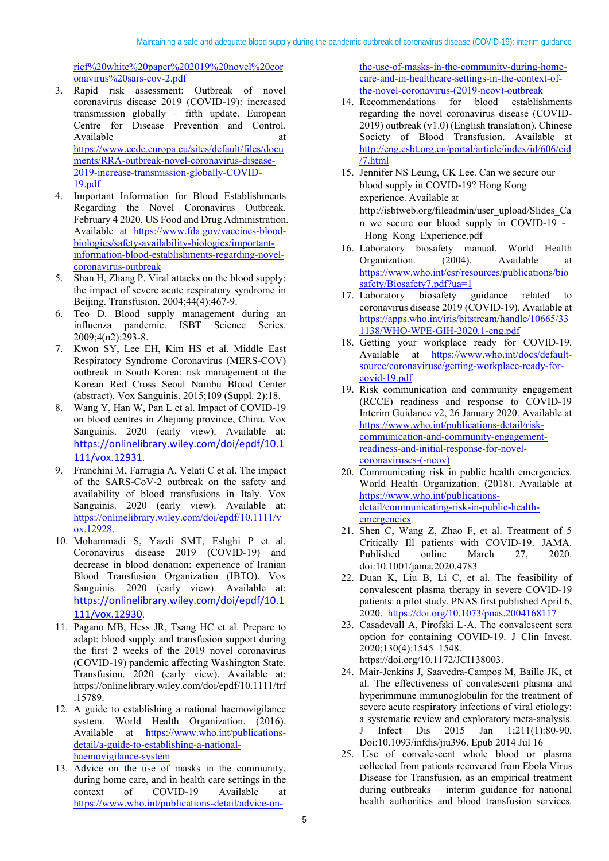rief%20white%20paper%202019%20novel%20cor onavirus%20sars-cov-2.pdf

- 3. Rapid risk assessment: Outbreak of novel coronavirus disease 2019 (COVID-19): increased transmission globally – fifth update. European Centre for Disease Prevention and Control. Available at a state of the state at a state of the state at a state of the state at a state of the state at a https://www.ecdc.europa.eu/sites/default/files/docu ments/RRA-outbreak-novel-coronavirus-disease-2019-increase-transmission-globally-COVID-19.pdf
- 4. Important Information for Blood Establishments Regarding the Novel Coronavirus Outbreak. February 4 2020. US Food and Drug Administration. Available at https://www.fda.gov/vaccines-bloodbiologics/safety-availability-biologics/importantinformation-blood-establishments-regarding-novelcoronavirus-outbreak
- 5. Shan H, Zhang P. Viral attacks on the blood supply: the impact of severe acute respiratory syndrome in Beijing. Transfusion. 2004;44(4):467-9.
- 6. Teo D. Blood supply management during an influenza pandemic. ISBT Science Series. 2009;4(n2):293-8.
- 7. Kwon SY, Lee EH, Kim HS et al. Middle East Respiratory Syndrome Coronavirus (MERS-COV) outbreak in South Korea: risk management at the Korean Red Cross Seoul Nambu Blood Center (abstract). Vox Sanguinis. 2015;109 (Suppl. 2):18.
- 8. Wang Y, Han W, Pan L et al. Impact of COVID-19 on blood centres in Zhejiang province, China. Vox Sanguinis. 2020 (early view). Available at: https://onlinelibrary.wiley.com/doi/epdf/10.1 111/vox.12931.
- 9. Franchini M, Farrugia A, Velati C et al. The impact of the SARS-CoV-2 outbreak on the safety and availability of blood transfusions in Italy. Vox Sanguinis. 2020 (early view). Available at: https://onlinelibrary.wiley.com/doi/epdf/10.1111/v ox.12928.
- 10. Mohammadi S, Yazdi SMT, Eshghi P et al. Coronavirus disease 2019 (COVID-19) and decrease in blood donation: experience of Iranian Blood Transfusion Organization (IBTO). Vox Sanguinis. 2020 (early view). Available at: https://onlinelibrary.wiley.com/doi/epdf/10.1 111/vox.12930.
- 11. Pagano MB, Hess JR, Tsang HC et al. Prepare to adapt: blood supply and transfusion support during the first 2 weeks of the 2019 novel coronavirus (COVID-19) pandemic affecting Washington State. Transfusion. 2020 (early view). Available at: https://onlinelibrary.wiley.com/doi/epdf/10.1111/trf .15789.
- 12. A guide to establishing a national haemovigilance system. World Health Organization. (2016). Available at https://www.who.int/publicationsdetail/a-guide-to-establishing-a-nationalhaemovigilance-system
- 13. Advice on the use of masks in the community, during home care, and in health care settings in the context of COVID-19 Available at https://www.who.int/publications-detail/advice-on-

the-use-of-masks-in-the-community-during-homecare-and-in-healthcare-settings-in-the-context-ofthe-novel-coronavirus-(2019-ncov)-outbreak

- 14. Recommendations for blood establishments regarding the novel coronavirus disease (COVID-2019) outbreak (v1.0) (English translation). Chinese Society of Blood Transfusion. Available at http://eng.csbt.org.cn/portal/article/index/id/606/cid /7.html
- 15. Jennifer NS Leung, CK Lee. Can we secure our blood supply in COVID-19? Hong Kong experience. Available at http://isbtweb.org/fileadmin/user\_upload/Slides\_Ca n we secure our blood supply in COVID-19 -Hong Kong Experience.pdf
- 16. Laboratory biosafety manual. World Health Organization. (2004). Available at https://www.who.int/csr/resources/publications/bio safety/Biosafety7.pdf?ua=1
- 17. Laboratory biosafety guidance related to coronavirus disease 2019 (COVID-19). Available at https://apps.who.int/iris/bitstream/handle/10665/33 1138/WHO-WPE-GIH-2020.1-eng.pdf
- 18. Getting your workplace ready for COVID-19. Available at https://www.who.int/docs/defaultsource/coronaviruse/getting-workplace-ready-forcovid-19.pdf
- 19. Risk communication and community engagement (RCCE) readiness and response to COVID-19 Interim Guidance v2, 26 January 2020. Available at https://www.who.int/publications-detail/riskcommunication-and-community-engagementreadiness-and-initial-response-for-novelcoronaviruses-(-ncov)
- 20. Communicating risk in public health emergencies. World Health Organization. (2018). Available at https://www.who.int/publicationsdetail/communicating-risk-in-public-healthemergencies.
- 21. Shen C, Wang Z, Zhao F, et al. Treatment of 5 Critically Ill patients with COVID-19. JAMA. Published online March 27, 2020. doi:10.1001/jama.2020.4783
- 22. Duan K, Liu B, Li C, et al. The feasibility of convalescent plasma therapy in severe COVID-19 patients: a pilot study. PNAS first published April 6, 2020. https://doi.org/10.1073/pnas.2004168117
- 23. Casadevall A, Pirofski L-A. The convalescent sera option for containing COVID-19. J Clin Invest. 2020;130(4):1545–1548. https://doi.org/10.1172/JCI138003.
- 24. Mair-Jenkins J, Saavedra-Campos M, Baille JK, et al. The effectiveness of convalescent plasma and hyperimmune immunoglobulin for the treatment of severe acute respiratory infections of viral etiology: a systematic review and exploratory meta-analysis. J Infect Dis 2015 Jan 1;211(1):80-90. Doi:10.1093/infdis/jiu396. Epub 2014 Jul 16
- 25. Use of convalescent whole blood or plasma collected from patients recovered from Ebola Virus Disease for Transfusion, as an empirical treatment during outbreaks – interim guidance for national health authorities and blood transfusion services.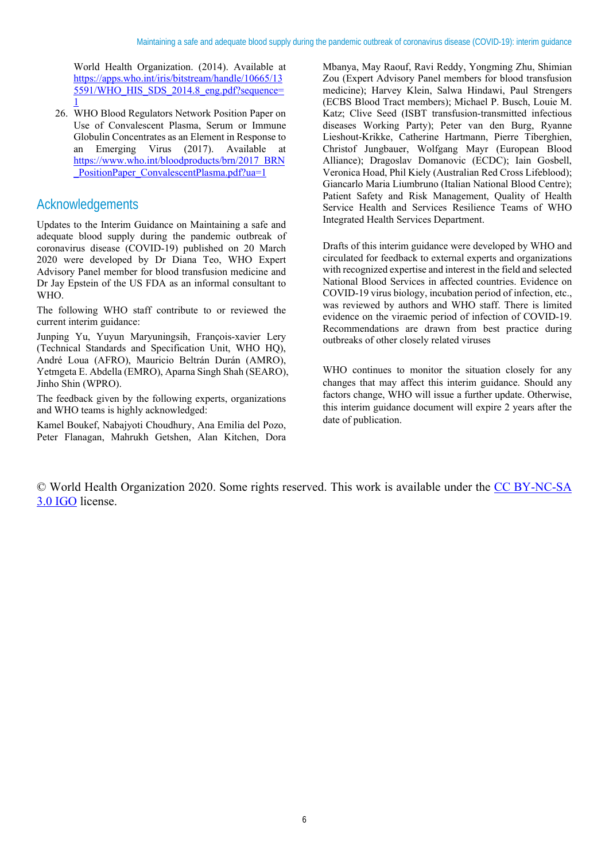World Health Organization. (2014). Available at https://apps.who.int/iris/bitstream/handle/10665/13 5591/WHO\_HIS\_SDS\_2014.8\_eng.pdf?sequence= 1

26. WHO Blood Regulators Network Position Paper on Use of Convalescent Plasma, Serum or Immune Globulin Concentrates as an Element in Response to an Emerging Virus (2017). Available at https://www.who.int/bloodproducts/brn/2017\_BRN PositionPaper\_ConvalescentPlasma.pdf?ua=1

# Acknowledgements

Updates to the Interim Guidance on Maintaining a safe and adequate blood supply during the pandemic outbreak of coronavirus disease (COVID-19) published on 20 March 2020 were developed by Dr Diana Teo, WHO Expert Advisory Panel member for blood transfusion medicine and Dr Jay Epstein of the US FDA as an informal consultant to WHO.

The following WHO staff contribute to or reviewed the current interim guidance:

Junping Yu, Yuyun Maryuningsih, François-xavier Lery (Technical Standards and Specification Unit, WHO HQ), André Loua (AFRO), Mauricio Beltrán Durán (AMRO), Yetmgeta E. Abdella (EMRO), Aparna Singh Shah (SEARO), Jinho Shin (WPRO).

The feedback given by the following experts, organizations and WHO teams is highly acknowledged:

Kamel Boukef, Nabajyoti Choudhury, Ana Emilia del Pozo, Peter Flanagan, Mahrukh Getshen, Alan Kitchen, Dora Mbanya, May Raouf, Ravi Reddy, Yongming Zhu, Shimian Zou (Expert Advisory Panel members for blood transfusion medicine); Harvey Klein, Salwa Hindawi, Paul Strengers (ECBS Blood Tract members); Michael P. Busch, Louie M. Katz; Clive Seed (ISBT transfusion-transmitted infectious diseases Working Party); Peter van den Burg, Ryanne Lieshout-Krikke, Catherine Hartmann, Pierre Tiberghien, Christof Jungbauer, Wolfgang Mayr (European Blood Alliance); Dragoslav Domanovic (ECDC); Iain Gosbell, Veronica Hoad, Phil Kiely (Australian Red Cross Lifeblood); Giancarlo Maria Liumbruno (Italian National Blood Centre); Patient Safety and Risk Management, Quality of Health Service Health and Services Resilience Teams of WHO Integrated Health Services Department.

Drafts of this interim guidance were developed by WHO and circulated for feedback to external experts and organizations with recognized expertise and interest in the field and selected National Blood Services in affected countries. Evidence on COVID-19 virus biology, incubation period of infection, etc., was reviewed by authors and WHO staff. There is limited evidence on the viraemic period of infection of COVID-19. Recommendations are drawn from best practice during outbreaks of other closely related viruses

WHO continues to monitor the situation closely for any changes that may affect this interim guidance. Should any factors change, WHO will issue a further update. Otherwise, this interim guidance document will expire 2 years after the date of publication.

© World Health Organization 2020. Some rights reserved. This work is available under the CC BY-NC-SA 3.0 IGO license.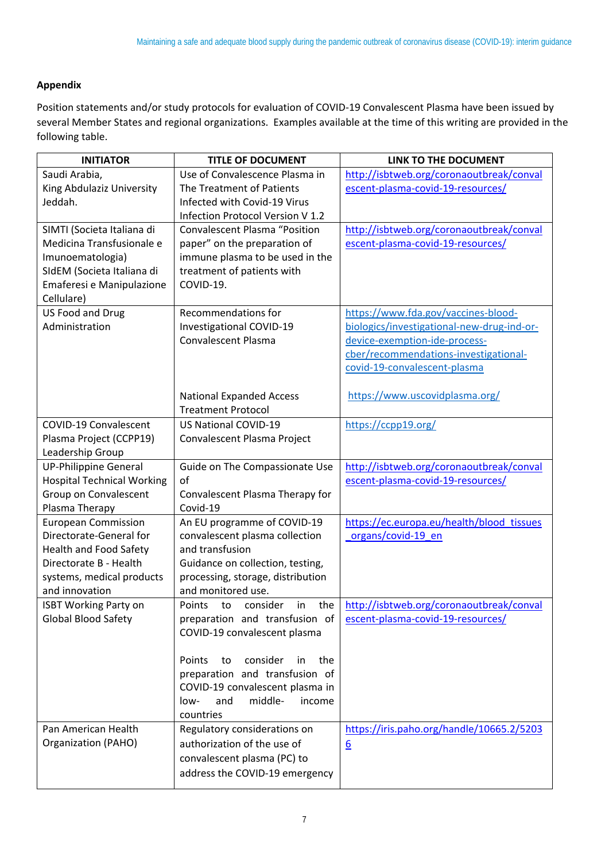#### **Appendix**

Position statements and/or study protocols for evaluation of COVID‐19 Convalescent Plasma have been issued by several Member States and regional organizations. Examples available at the time of this writing are provided in the following table.

| <b>INITIATOR</b>                  | <b>TITLE OF DOCUMENT</b>              | LINK TO THE DOCUMENT                       |
|-----------------------------------|---------------------------------------|--------------------------------------------|
| Saudi Arabia,                     | Use of Convalescence Plasma in        | http://isbtweb.org/coronaoutbreak/conval   |
| King Abdulaziz University         | The Treatment of Patients             | escent-plasma-covid-19-resources/          |
| Jeddah.                           | Infected with Covid-19 Virus          |                                            |
|                                   | Infection Protocol Version V 1.2      |                                            |
| SIMTI (Societa Italiana di        | <b>Convalescent Plasma "Position</b>  | http://isbtweb.org/coronaoutbreak/conval   |
| Medicina Transfusionale e         | paper" on the preparation of          | escent-plasma-covid-19-resources/          |
| Imunoematologia)                  | immune plasma to be used in the       |                                            |
| SIdEM (Societa Italiana di        | treatment of patients with            |                                            |
| Emaferesi e Manipulazione         | COVID-19.                             |                                            |
| Cellulare)                        |                                       |                                            |
| US Food and Drug                  | Recommendations for                   | https://www.fda.gov/vaccines-blood-        |
| Administration                    | Investigational COVID-19              | biologics/investigational-new-drug-ind-or- |
|                                   | <b>Convalescent Plasma</b>            | device-exemption-ide-process-              |
|                                   |                                       | cber/recommendations-investigational-      |
|                                   |                                       | covid-19-convalescent-plasma               |
|                                   |                                       |                                            |
|                                   | <b>National Expanded Access</b>       | https://www.uscovidplasma.org/             |
|                                   | <b>Treatment Protocol</b>             |                                            |
| COVID-19 Convalescent             | <b>US National COVID-19</b>           | https://ccpp19.org/                        |
| Plasma Project (CCPP19)           | Convalescent Plasma Project           |                                            |
| Leadership Group                  |                                       |                                            |
| <b>UP-Philippine General</b>      | Guide on The Compassionate Use        | http://isbtweb.org/coronaoutbreak/conval   |
| <b>Hospital Technical Working</b> | of                                    | escent-plasma-covid-19-resources/          |
| Group on Convalescent             | Convalescent Plasma Therapy for       |                                            |
| Plasma Therapy                    | Covid-19                              |                                            |
| <b>European Commission</b>        | An EU programme of COVID-19           | https://ec.europa.eu/health/blood tissues  |
| Directorate-General for           | convalescent plasma collection        | organs/covid-19_en                         |
| <b>Health and Food Safety</b>     | and transfusion                       |                                            |
| Directorate B - Health            | Guidance on collection, testing,      |                                            |
| systems, medical products         | processing, storage, distribution     |                                            |
| and innovation                    | and monitored use.                    |                                            |
| <b>ISBT Working Party on</b>      | Points<br>consider<br>the<br>to<br>in | http://isbtweb.org/coronaoutbreak/conval   |
| <b>Global Blood Safety</b>        | preparation and transfusion of        | escent-plasma-covid-19-resources/          |
|                                   | COVID-19 convalescent plasma          |                                            |
|                                   |                                       |                                            |
|                                   | consider<br>Points<br>to<br>in<br>the |                                            |
|                                   | preparation and transfusion of        |                                            |
|                                   | COVID-19 convalescent plasma in       |                                            |
|                                   | middle-<br>and<br>income<br>low-      |                                            |
|                                   | countries                             |                                            |
| Pan American Health               | Regulatory considerations on          | https://iris.paho.org/handle/10665.2/5203  |
| Organization (PAHO)               | authorization of the use of           | $6 \overline{6}$                           |
|                                   | convalescent plasma (PC) to           |                                            |
|                                   | address the COVID-19 emergency        |                                            |